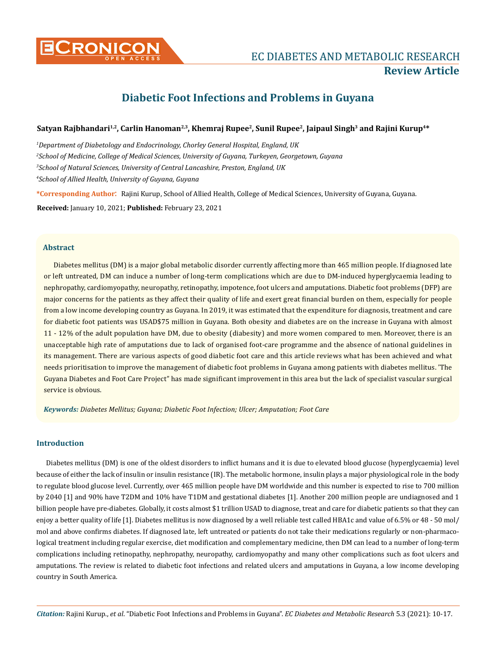

# **CRONICON EC DIABETES AND METABOLIC RESEARCH Review Article**

# **Diabetic Foot Infections and Problems in Guyana**

# Satyan Rajbhandari<sup>1,2</sup>, Carlin Hanoman<sup>2,3</sup>, Khemraj Rupee<sup>2</sup>, Sunil Rupee<sup>2</sup>, Jaipaul Singh<sup>3</sup> and Rajini Kurup<sup>4\*</sup>

 *Department of Diabetology and Endocrinology, Chorley General Hospital, England, UK School of Medicine, College of Medical Sciences, University of Guyana, Turkeyen, Georgetown, Guyana School of Natural Sciences, University of Central Lancashire, Preston, England, UK School of Allied Health, University of Guyana, Guyana*

**\*Corresponding Author**: Rajini Kurup, School of Allied Health, College of Medical Sciences, University of Guyana, Guyana.

**Received:** January 10, 2021; **Published:** February 23, 2021

# **Abstract**

Diabetes mellitus (DM) is a major global metabolic disorder currently affecting more than 465 million people. If diagnosed late or left untreated, DM can induce a number of long-term complications which are due to DM-induced hyperglycaemia leading to nephropathy, cardiomyopathy, neuropathy, retinopathy, impotence, foot ulcers and amputations. Diabetic foot problems (DFP) are major concerns for the patients as they affect their quality of life and exert great financial burden on them, especially for people from a low income developing country as Guyana. In 2019, it was estimated that the expenditure for diagnosis, treatment and care for diabetic foot patients was USAD\$75 million in Guyana. Both obesity and diabetes are on the increase in Guyana with almost 11 - 12% of the adult population have DM, due to obesity (diabesity) and more women compared to men. Moreover, there is an unacceptable high rate of amputations due to lack of organised foot-care programme and the absence of national guidelines in its management. There are various aspects of good diabetic foot care and this article reviews what has been achieved and what needs prioritisation to improve the management of diabetic foot problems in Guyana among patients with diabetes mellitus. 'The Guyana Diabetes and Foot Care Project" has made significant improvement in this area but the lack of specialist vascular surgical service is obvious.

*Keywords: Diabetes Mellitus; Guyana; Diabetic Foot Infection; Ulcer; Amputation; Foot Care*

# **Introduction**

Diabetes mellitus (DM) is one of the oldest disorders to inflict humans and it is due to elevated blood glucose (hyperglycaemia) level because of either the lack of insulin or insulin resistance (IR). The metabolic hormone, insulin plays a major physiological role in the body to regulate blood glucose level. Currently, over 465 million people have DM worldwide and this number is expected to rise to 700 million by 2040 [1] and 90% have T2DM and 10% have T1DM and gestational diabetes [1]. Another 200 million people are undiagnosed and 1 billion people have pre-diabetes. Globally, it costs almost \$1 trillion USAD to diagnose, treat and care for diabetic patients so that they can enjoy a better quality of life [1]. Diabetes mellitus is now diagnosed by a well reliable test called HBA1c and value of 6.5% or 48 - 50 mol/ mol and above confirms diabetes. If diagnosed late, left untreated or patients do not take their medications regularly or non-pharmacological treatment including regular exercise, diet modification and complementary medicine, then DM can lead to a number of long-term complications including retinopathy, nephropathy, neuropathy, cardiomyopathy and many other complications such as foot ulcers and amputations. The review is related to diabetic foot infections and related ulcers and amputations in Guyana, a low income developing country in South America.

*Citation:* Rajini Kurup., *et al*. "Diabetic Foot Infections and Problems in Guyana". *EC Diabetes and Metabolic Research* 5.3 (2021): 10-17.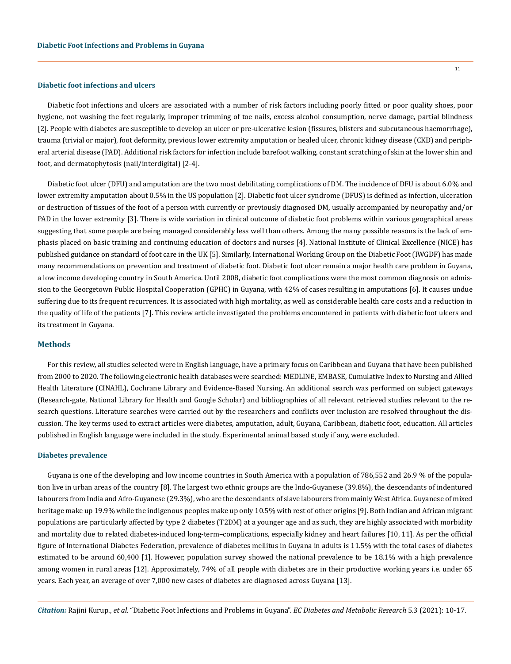#### **Diabetic foot infections and ulcers**

Diabetic foot infections and ulcers are associated with a number of risk factors including poorly fitted or poor quality shoes, poor hygiene, not washing the feet regularly, improper trimming of toe nails, excess alcohol consumption, nerve damage, partial blindness [2]. People with diabetes are susceptible to develop an ulcer or pre-ulcerative lesion (fissures, blisters and subcutaneous haemorrhage), trauma (trivial or major), foot deformity, previous lower extremity amputation or healed ulcer, chronic kidney disease (CKD) and peripheral arterial disease (PAD). Additional risk factors for infection include barefoot walking, constant scratching of skin at the lower shin and foot, and dermatophytosis (nail/interdigital) [2-4].

Diabetic foot ulcer (DFU) and amputation are the two most debilitating complications of DM. The incidence of DFU is about 6.0% and lower extremity amputation about 0.5% in the US population [2]. Diabetic foot ulcer syndrome (DFUS) is defined as infection, ulceration or destruction of tissues of the foot of a person with currently or previously diagnosed DM, usually accompanied by neuropathy and/or PAD in the lower extremity [3]. There is wide variation in clinical outcome of diabetic foot problems within various geographical areas suggesting that some people are being managed considerably less well than others. Among the many possible reasons is the lack of emphasis placed on basic training and continuing education of doctors and nurses [4]. National Institute of Clinical Excellence (NICE) has published guidance on standard of foot care in the UK [5]. Similarly, International Working Group on the Diabetic Foot (IWGDF) has made many recommendations on prevention and treatment of diabetic foot. Diabetic foot ulcer remain a major health care problem in Guyana, a low income developing country in South America. Until 2008, diabetic foot complications were the most common diagnosis on admission to the Georgetown Public Hospital Cooperation (GPHC) in Guyana, with 42% of cases resulting in amputations [6]. It causes undue suffering due to its frequent recurrences. It is associated with high mortality, as well as considerable health care costs and a reduction in the quality of life of the patients [7]. This review article investigated the problems encountered in patients with diabetic foot ulcers and its treatment in Guyana.

# **Methods**

For this review, all studies selected were in English language, have a primary focus on Caribbean and Guyana that have been published from 2000 to 2020. The following electronic health databases were searched: MEDLINE, EMBASE, Cumulative Index to Nursing and Allied Health Literature (CINAHL), Cochrane Library and Evidence-Based Nursing. An additional search was performed on subject gateways (Research-gate, National Library for Health and Google Scholar) and bibliographies of all relevant retrieved studies relevant to the research questions. Literature searches were carried out by the researchers and conflicts over inclusion are resolved throughout the discussion. The key terms used to extract articles were diabetes, amputation, adult, Guyana, Caribbean, diabetic foot, education. All articles published in English language were included in the study. Experimental animal based study if any, were excluded.

#### **Diabetes prevalence**

Guyana is one of the developing and low income countries in South America with a population of 786,552 and 26.9 % of the population live in urban areas of the country [8]. The largest two ethnic groups are the Indo-Guyanese (39.8%), the descendants of indentured labourers from India and Afro-Guyanese (29.3%), who are the descendants of slave labourers from mainly West Africa. Guyanese of mixed heritage make up 19.9% while the indigenous peoples make up only 10.5% with rest of other origins [9]. Both Indian and African migrant populations are particularly affected by type 2 diabetes (T2DM) at a younger age and as such, they are highly associated with morbidity and mortality due to related diabetes-induced long-term–complications, especially kidney and heart failures [10, 11]. As per the official figure of International Diabetes Federation, prevalence of diabetes mellitus in Guyana in adults is 11.5% with the total cases of diabetes estimated to be around 60,400 [1]. However, population survey showed the national prevalence to be 18.1% with a high prevalence among women in rural areas [12]. Approximately, 74% of all people with diabetes are in their productive working years i.e. under 65 years. Each year, an average of over 7,000 new cases of diabetes are diagnosed across Guyana [13].

*Citation:* Rajini Kurup., *et al*. "Diabetic Foot Infections and Problems in Guyana". *EC Diabetes and Metabolic Research* 5.3 (2021): 10-17.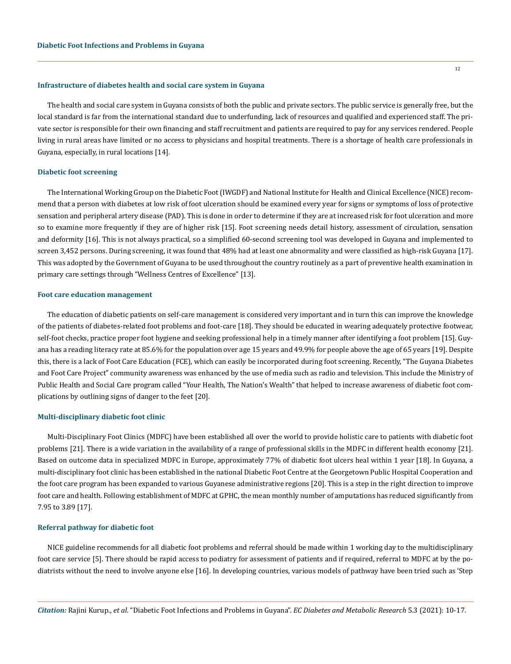### **Infrastructure of diabetes health and social care system in Guyana**

The health and social care system in Guyana consists of both the public and private sectors. The public service is generally free, but the local standard is far from the international standard due to underfunding, lack of resources and qualified and experienced staff. The private sector is responsible for their own financing and staff recruitment and patients are required to pay for any services rendered. People living in rural areas have limited or no access to physicians and hospital treatments. There is a shortage of health care professionals in Guyana, especially, in rural locations [14].

#### **Diabetic foot screening**

The International Working Group on the Diabetic Foot (IWGDF) and National Institute for Health and Clinical Excellence (NICE) recommend that a person with diabetes at low risk of foot ulceration should be examined every year for signs or symptoms of loss of protective sensation and peripheral artery disease (PAD). This is done in order to determine if they are at increased risk for foot ulceration and more so to examine more frequently if they are of higher risk [15]. Foot screening needs detail history, assessment of circulation, sensation and deformity [16]. This is not always practical, so a simplified 60-second screening tool was developed in Guyana and implemented to screen 3,452 persons. During screening, it was found that 48% had at least one abnormality and were classified as high-risk Guyana [17]. This was adopted by the Government of Guyana to be used throughout the country routinely as a part of preventive health examination in primary care settings through "Wellness Centres of Excellence" [13].

#### **Foot care education management**

The education of diabetic patients on self-care management is considered very important and in turn this can improve the knowledge of the patients of diabetes-related foot problems and foot-care [18]. They should be educated in wearing adequately protective footwear, self-foot checks, practice proper foot hygiene and seeking professional help in a timely manner after identifying a foot problem [15]. Guyana has a reading literacy rate at 85.6% for the population over age 15 years and 49.9% for people above the age of 65 years [19]. Despite this, there is a lack of Foot Care Education (FCE), which can easily be incorporated during foot screening. Recently, "The Guyana Diabetes and Foot Care Project" community awareness was enhanced by the use of media such as radio and television. This include the Ministry of Public Health and Social Care program called "Your Health, The Nation's Wealth" that helped to increase awareness of diabetic foot complications by outlining signs of danger to the feet [20].

# **Multi-disciplinary diabetic foot clinic**

Multi-Disciplinary Foot Clinics (MDFC) have been established all over the world to provide holistic care to patients with diabetic foot problems [21]. There is a wide variation in the availability of a range of professional skills in the MDFC in different health economy [21]. Based on outcome data in specialized MDFC in Europe, approximately 77% of diabetic foot ulcers heal within 1 year [18]. In Guyana, a multi-disciplinary foot clinic has been established in the national Diabetic Foot Centre at the Georgetown Public Hospital Cooperation and the foot care program has been expanded to various Guyanese administrative regions [20]. This is a step in the right direction to improve foot care and health. Following establishment of MDFC at GPHC, the mean monthly number of amputations has reduced significantly from 7.95 to 3.89 [17].

# **Referral pathway for diabetic foot**

NICE guideline recommends for all diabetic foot problems and referral should be made within 1 working day to the multidisciplinary foot care service [5]. There should be rapid access to podiatry for assessment of patients and if required, referral to MDFC at by the podiatrists without the need to involve anyone else [16]. In developing countries, various models of pathway have been tried such as 'Step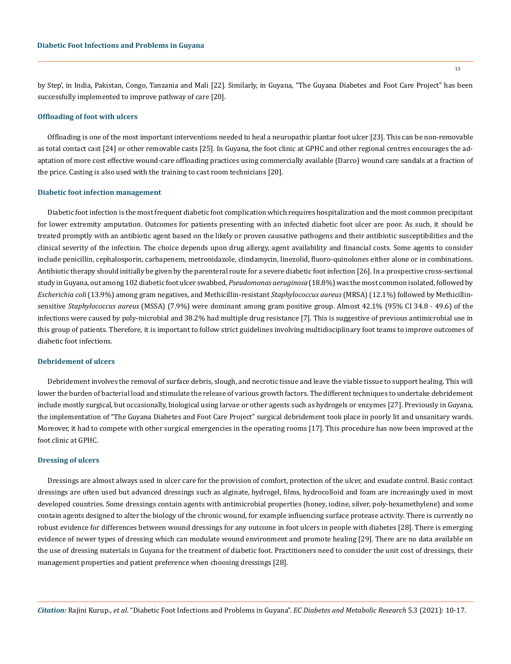by Step', in India, Pakistan, Congo, Tanzania and Mali [22]. Similarly, in Guyana, "The Guyana Diabetes and Foot Care Project" has been successfully implemented to improve pathway of care [20].

# **Offloading of foot with ulcers**

Offloading is one of the most important interventions needed to heal a neuropathic plantar foot ulcer [23]. This can be non-removable as total contact cast [24] or other removable casts [25]. In Guyana, the foot clinic at GPHC and other regional centres encourages the adaptation of more cost effective wound-care offloading practices using commercially available (Darco) wound care sandals at a fraction of the price. Casting is also used with the training to cast room technicians [20].

## **Diabetic foot infection management**

Diabetic foot infection is the most frequent diabetic foot complication which requires hospitalization and the most common precipitant for lower extremity amputation. Outcomes for patients presenting with an infected diabetic foot ulcer are poor. As such, it should be treated promptly with an antibiotic agent based on the likely or proven causative pathogens and their antibiotic susceptibilities and the clinical severity of the infection. The choice depends upon drug allergy, agent availability and financial costs. Some agents to consider include penicillin, cephalosporin, carbapenem, metronidazole, clindamycin, linezolid, fluoro-quinolones either alone or in combinations. Antibiotic therapy should initially be given by the parenteral route for a severe diabetic foot infection [26]. In a prospective cross-sectional study in Guyana, out among 102 diabetic foot ulcer swabbed, *Pseudomonas aeruginosa* (18.8%) was the most common isolated, followed by *Escherichia coli* (13.9%) among gram negatives, and Methicillin-resistant *Staphylococcus aureus* (MRSA) (12.1%) followed by Methicillinsensitive *Staphylococcus aureus* (MSSA) (7.9%) were dominant among gram positive group. Almost 42.1% (95% CI 34.8 - 49.6) of the infections were caused by poly-microbial and 38.2% had multiple drug resistance [7]. This is suggestive of previous antimicrobial use in this group of patients. Therefore, it is important to follow strict guidelines involving multidisciplinary foot teams to improve outcomes of diabetic foot infections.

# **Debridement of ulcers**

Debridement involves the removal of surface debris, slough, and necrotic tissue and leave the viable tissue to support healing. This will lower the burden of bacterial load and stimulate the release of various growth factors. The different techniques to undertake debridement include mostly surgical, but occasionally, biological using larvae or other agents such as hydrogels or enzymes [27]. Previously in Guyana, the implementation of "The Guyana Diabetes and Foot Care Project" surgical debridement took place in poorly lit and unsanitary wards. Moreover, it had to compete with other surgical emergencies in the operating rooms [17]. This procedure has now been improved at the foot clinic at GPHC.

# **Dressing of ulcers**

Dressings are almost always used in ulcer care for the provision of comfort, protection of the ulcer, and exudate control. Basic contact dressings are often used but advanced dressings such as alginate, hydrogel, films, hydrocolloid and foam are increasingly used in most developed countries. Some dressings contain agents with antimicrobial properties (honey, iodine, silver, poly-hexamethylene) and some contain agents designed to alter the biology of the chronic wound, for example influencing surface protease activity. There is currently no robust evidence for differences between wound dressings for any outcome in foot ulcers in people with diabetes [28]. There is emerging evidence of newer types of dressing which can modulate wound environment and promote healing [29]. There are no data available on the use of dressing materials in Guyana for the treatment of diabetic foot. Practitioners need to consider the unit cost of dressings, their management properties and patient preference when choosing dressings [28].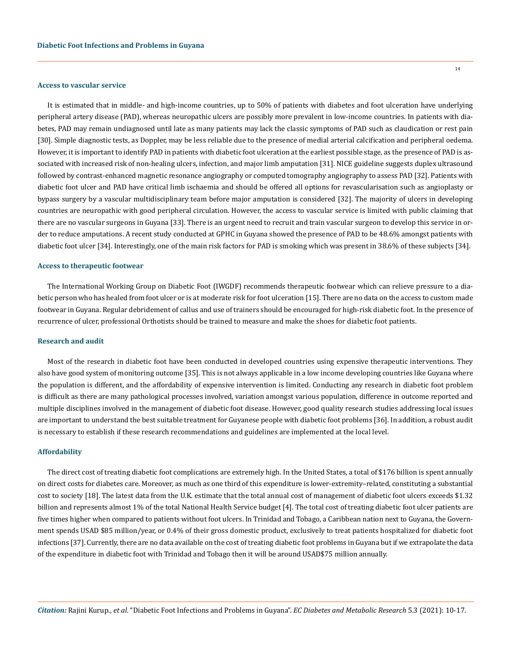#### **Access to vascular service**

It is estimated that in middle- and high-income countries, up to 50% of patients with diabetes and foot ulceration have underlying peripheral artery disease (PAD), whereas neuropathic ulcers are possibly more prevalent in low-income countries. In patients with diabetes, PAD may remain undiagnosed until late as many patients may lack the classic symptoms of PAD such as claudication or rest pain [30]. Simple diagnostic tests, as Doppler, may be less reliable due to the presence of medial arterial calcification and peripheral oedema. However, it is important to identify PAD in patients with diabetic foot ulceration at the earliest possible stage, as the presence of PAD is associated with increased risk of non-healing ulcers, infection, and major limb amputation [31]. NICE guideline suggests duplex ultrasound followed by contrast-enhanced magnetic resonance angiography or computed tomography angiography to assess PAD [32]. Patients with diabetic foot ulcer and PAD have critical limb ischaemia and should be offered all options for revascularisation such as angioplasty or bypass surgery by a vascular multidisciplinary team before major amputation is considered [32]. The majority of ulcers in developing countries are neuropathic with good peripheral circulation. However, the access to vascular service is limited with public claiming that there are no vascular surgeons in Guyana [33]. There is an urgent need to recruit and train vascular surgeon to develop this service in order to reduce amputations. A recent study conducted at GPHC in Guyana showed the presence of PAD to be 48.6% amongst patients with diabetic foot ulcer [34]. Interestingly, one of the main risk factors for PAD is smoking which was present in 38.6% of these subjects [34].

#### **Access to therapeutic footwear**

The International Working Group on Diabetic Foot (IWGDF) recommends therapeutic footwear which can relieve pressure to a diabetic person who has healed from foot ulcer or is at moderate risk for foot ulceration [15]. There are no data on the access to custom made footwear in Guyana. Regular debridement of callus and use of trainers should be encouraged for high-risk diabetic foot. In the presence of recurrence of ulcer, professional Orthotists should be trained to measure and make the shoes for diabetic foot patients.

## **Research and audit**

Most of the research in diabetic foot have been conducted in developed countries using expensive therapeutic interventions. They also have good system of monitoring outcome [35]. This is not always applicable in a low income developing countries like Guyana where the population is different, and the affordability of expensive intervention is limited. Conducting any research in diabetic foot problem is difficult as there are many pathological processes involved, variation amongst various population, difference in outcome reported and multiple disciplines involved in the management of diabetic foot disease. However, good quality research studies addressing local issues are important to understand the best suitable treatment for Guyanese people with diabetic foot problems [36]. In addition, a robust audit is necessary to establish if these research recommendations and guidelines are implemented at the local level.

#### **Affordability**

The direct cost of treating diabetic foot complications are extremely high. In the United States, a total of \$176 billion is spent annually on direct costs for diabetes care. Moreover, as much as one third of this expenditure is lower-extremity–related, constituting a substantial cost to society [18]. The latest data from the U.K. estimate that the total annual cost of management of diabetic foot ulcers exceeds \$1.32 billion and represents almost 1% of the total National Health Service budget [4]. The total cost of treating diabetic foot ulcer patients are five times higher when compared to patients without foot ulcers. In Trinidad and Tobago, a Caribbean nation next to Guyana, the Government spends USAD \$85 million/year, or 0.4% of their gross domestic product, exclusively to treat patients hospitalized for diabetic foot infections [37]. Currently, there are no data available on the cost of treating diabetic foot problems in Guyana but if we extrapolate the data of the expenditure in diabetic foot with Trinidad and Tobago then it will be around USAD\$75 million annually.

14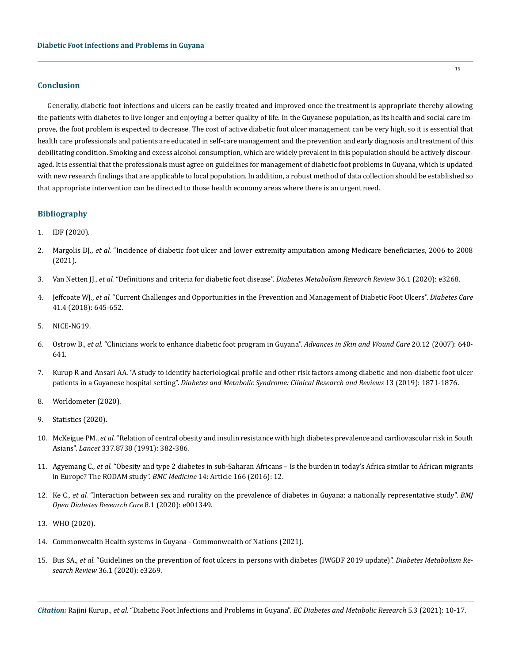# **Conclusion**

Generally, diabetic foot infections and ulcers can be easily treated and improved once the treatment is appropriate thereby allowing the patients with diabetes to live longer and enjoying a better quality of life. In the Guyanese population, as its health and social care improve, the foot problem is expected to decrease. The cost of active diabetic foot ulcer management can be very high, so it is essential that health care professionals and patients are educated in self-care management and the prevention and early diagnosis and treatment of this debilitating condition. Smoking and excess alcohol consumption, which are widely prevalent in this population should be actively discouraged. It is essential that the professionals must agree on guidelines for management of diabetic foot problems in Guyana, which is updated with new research findings that are applicable to local population. In addition, a robust method of data collection should be established so that appropriate intervention can be directed to those health economy areas where there is an urgent need.

# **Bibliography**

- 1. [IDF \(2020\).](https://idf.org/our-network/regions-members/north-america-and-caribbean/members/63-guyana.html)
- 2. Margolis DJ., *et al.* ["Incidence of diabetic foot ulcer and lower extremity amputation among Medicare beneficiaries, 2006 to 2008](https://www.ncbi.nlm.nih.gov/books/NBK65149/)  [\(2021\).](https://www.ncbi.nlm.nih.gov/books/NBK65149/)
- 3. Van Netten JJ., *et al.* ["Definitions and criteria for diabetic foot disease".](https://onlinelibrary.wiley.com/doi/full/10.1002/dmrr.3268) *Diabetes Metabolism Research Review* 36.1 (2020): e3268.
- 4. Jeffcoate WJ., *et al.* ["Current Challenges and Opportunities in the Prevention and Management of Diabetic Foot Ulcers".](https://care.diabetesjournals.org/content/41/4/645) *Diabetes Care*  [41.4 \(2018\): 645-652.](https://care.diabetesjournals.org/content/41/4/645)
- 5. [NICE-NG19.](https://www.nice.org.uk/guidance/ng19)
- 6. Ostrow B., *et al.* ["Clinicians work to enhance diabetic foot program in Guyana".](https://pubmed.ncbi.nlm.nih.gov/18091113/) *Advances in Skin and Wound Care* 20.12 (2007): 640- [641.](https://pubmed.ncbi.nlm.nih.gov/18091113/)
- 7. [Kurup R and Ansari AA. "A study to identify bacteriological profile and other risk factors among diabetic and non-diabetic foot ulcer](https://pubmed.ncbi.nlm.nih.gov/31235108/)  patients in a Guyanese hospital setting". *[Diabetes and Metabolic Syndrome: Clinical Research and Reviews](https://pubmed.ncbi.nlm.nih.gov/31235108/)* 13 (2019): 1871-1876.
- 8. [Worldometer \(2020\).](https://www.worldometers.info/world-population/guyana-population/)
- 9. [Statistics \(2020\).](https://statisticsguyana.gov.gy/wp-content/uploads/2019/11/Final_2012_Census_Compendium2.pdf)
- 10. McKeigue PM., *et al.* ["Relation of central obesity and insulin resistance with high diabetes prevalence and cardiovascular risk in South](https://pubmed.ncbi.nlm.nih.gov/1671422/)  Asians". *Lancet* [337.8738 \(1991\): 382-386.](https://pubmed.ncbi.nlm.nih.gov/1671422/)
- 11. Agyemang C., *et al.* ["Obesity and type 2 diabetes in sub-Saharan Africans Is the burden in today's Africa similar to African migrants](https://pubmed.ncbi.nlm.nih.gov/27769239/)  [in Europe? The RODAM study".](https://pubmed.ncbi.nlm.nih.gov/27769239/) *BMC Medicine* 14: Article 166 (2016): 12.
- 12. Ke C., *et al.* ["Interaction between sex and rurality on the prevalence of diabetes in Guyana: a nationally representative study".](https://drc.bmj.com/content/8/1/e001349) *BMJ [Open Diabetes Research Care](https://drc.bmj.com/content/8/1/e001349)* 8.1 (2020): e001349.
- 13. [WHO \(2020\).](https://extranet.who.int/nutrition/gina/sites/default/filesstore/GUY%202013%20CNCD-Strategy-2020__August_2013-Final.pdf)
- 14. [Commonwealth Health systems in Guyana Commonwealth of Nations \(2021\).](https://www.commonwealthofnations.org/cho/americas/guyana/health_systems_in_guyana/)
- 15. Bus SA., *et al.* ["Guidelines on the prevention of foot ulcers in persons with diabetes \(IWGDF 2019 update\)".](https://pubmed.ncbi.nlm.nih.gov/32176451/) *Diabetes Metabolism Research Review* [36.1 \(2020\): e3269.](https://pubmed.ncbi.nlm.nih.gov/32176451/)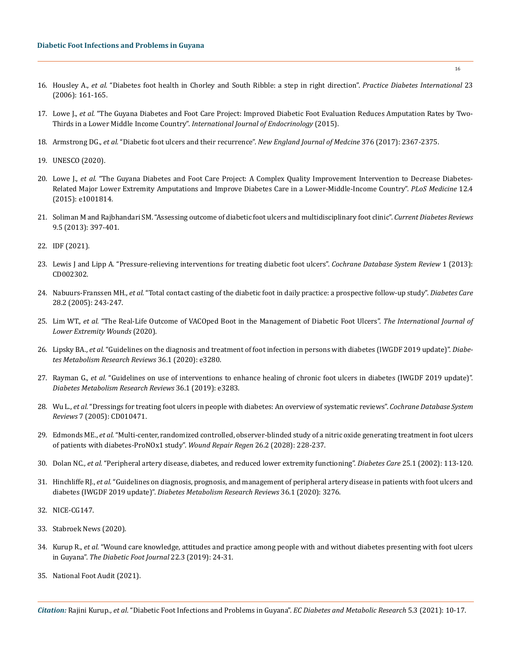- 16. Housley A., *et al.* ["Diabetes foot health in Chorley and South Ribble: a step in right direction".](https://onlinelibrary.wiley.com/doi/full/10.1002/pdi.934) *Practice Diabetes International* 23 [\(2006\): 161-165.](https://onlinelibrary.wiley.com/doi/full/10.1002/pdi.934)
- 17. Lowe J., *et al.* ["The Guyana Diabetes and Foot Care Project: Improved Diabetic Foot Evaluation Reduces Amputation Rates by Two-](https://pubmed.ncbi.nlm.nih.gov/26089901/)Thirds in a Lower Middle Income Country". *[International Journal of Endocrinology](https://pubmed.ncbi.nlm.nih.gov/26089901/)* (2015).
- 18. Armstrong DG., *et al.* ["Diabetic foot ulcers and their recurrence".](https://pubmed.ncbi.nlm.nih.gov/28614678/) *New England Journal of Medcine* 376 (2017): 2367-2375.
- 19. [UNESCO \(2020\).](http://uis.unesco.org/en/country/gy)
- 20. Lowe J., *et al.* ["The Guyana Diabetes and Foot Care Project: A Complex Quality Improvement Intervention to Decrease Diabetes-](https://journals.plos.org/plosmedicine/article?id=10.1371/journal.pmed.1001814)[Related Major Lower Extremity Amputations and Improve Diabetes Care in a Lower-Middle-Income Country".](https://journals.plos.org/plosmedicine/article?id=10.1371/journal.pmed.1001814) *PLoS Medicine* 12.4 [\(2015\): e1001814.](https://journals.plos.org/plosmedicine/article?id=10.1371/journal.pmed.1001814)
- 21. [Soliman M and Rajbhandari SM. "Assessing outcome of diabetic foot ulcers and multidisciplinary foot clinic".](https://pubmed.ncbi.nlm.nih.gov/23865411/) *Current Diabetes Reviews* [9.5 \(2013\): 397-401.](https://pubmed.ncbi.nlm.nih.gov/23865411/)
- 22. [IDF \(2021\).](https://www.worlddiabetesfoundation.org/sites/default/files/Step%20by%20step%20model.pdf)
- 23. [Lewis J and Lipp A. "Pressure-relieving interventions for treating diabetic foot ulcers".](https://pubmed.ncbi.nlm.nih.gov/23440787/) *Cochrane Database System Review* 1 (2013): [CD002302.](https://pubmed.ncbi.nlm.nih.gov/23440787/)
- 24. Nabuurs-Franssen MH., *et al.* ["Total contact casting of the diabetic foot in daily practice: a prospective follow-up study".](https://care.diabetesjournals.org/content/28/2/243) *Diabetes Care* [28.2 \(2005\): 243-247.](https://care.diabetesjournals.org/content/28/2/243)
- 25. Lim WT., *et al.* ["The Real-Life Outcome of VACOped Boot in the Management of Diabetic Foot Ulcers".](https://pubmed.ncbi.nlm.nih.gov/32734794/) *The International Journal of [Lower Extremity Wounds](https://pubmed.ncbi.nlm.nih.gov/32734794/)* (2020).
- 26. Lipsky BA., *et al.* ["Guidelines on the diagnosis and treatment of foot infection in persons with diabetes \(IWGDF 2019 update\)".](https://pubmed.ncbi.nlm.nih.gov/32176444/) *Diabe[tes Metabolism Research Reviews](https://pubmed.ncbi.nlm.nih.gov/32176444/)* 36.1 (2020): e3280.
- 27. Rayman G., *et al.* ["Guidelines on use of interventions to enhance healing of chronic foot ulcers in diabetes \(IWGDF 2019 update\)".](https://onlinelibrary.wiley.com/doi/full/10.1002/dmrr.3283)  *[Diabetes Metabolism Research Reviews](https://onlinelibrary.wiley.com/doi/full/10.1002/dmrr.3283)* 36.1 (2019): e3283.
- 28. Wu L., *et al.* ["Dressings for treating foot ulcers in people with diabetes: An overview of systematic reviews".](https://pubmed.ncbi.nlm.nih.gov/26171906/) *Cochrane Database System Reviews* [7 \(2005\): CD010471.](https://pubmed.ncbi.nlm.nih.gov/26171906/)
- 29. Edmonds ME., *et al.* ["Multi-center, randomized controlled, observer-blinded study of a nitric oxide generating treatment in foot ulcers](https://pubmed.ncbi.nlm.nih.gov/29617058/)  [of patients with diabetes-ProNOx1 study".](https://pubmed.ncbi.nlm.nih.gov/29617058/) *Wound Repair Regen* 26.2 (2028): 228-237.
- 30. Dolan NC., *et al.* ["Peripheral artery disease, diabetes, and reduced lower extremity functioning".](https://care.diabetesjournals.org/content/25/1/113) *Diabetes Care* 25.1 (2002): 113-120.
- 31. Hinchliffe RJ., *et al.* ["Guidelines on diagnosis, prognosis, and management of peripheral artery disease in patients with foot ulcers and](https://pubmed.ncbi.nlm.nih.gov/31958217/)  diabetes (IWGDF 2019 update)". *[Diabetes Metabolism Research Reviews](https://pubmed.ncbi.nlm.nih.gov/31958217/)* 36.1 (2020): 3276.
- 32. NICE-CG147.
- 33. [Stabroek News \(2020\).](https://www.stabroeknews.com/2020/12/25/opinion/letters/vascular-surgeon-desperately-needed-for-persons-suffering-from-chronic-venous-insufficiency/)
- 34. Kurup R., *et al.* ["Wound care knowledge, attitudes and practice among people with and without diabetes presenting with foot ulcers](https://www.researchgate.net/publication/337292423_Wound_care_knowledge_attitudes_and_practice_among_people_with_and_without_diabetes_presenting_with_foot_ulcers_in_Guyana)  in Guyana". *[The Diabetic Foot Journal](https://www.researchgate.net/publication/337292423_Wound_care_knowledge_attitudes_and_practice_among_people_with_and_without_diabetes_presenting_with_foot_ulcers_in_Guyana)* 22.3 (2019): 24-31.
- 35. [National Foot Audit \(2021\).](https://digital.nhs.uk/data-and-information/publications/statistical/national-diabetes-footcare-audit/2014-2018)

*Citation:* Rajini Kurup., *et al*. "Diabetic Foot Infections and Problems in Guyana". *EC Diabetes and Metabolic Research* 5.3 (2021): 10-17.